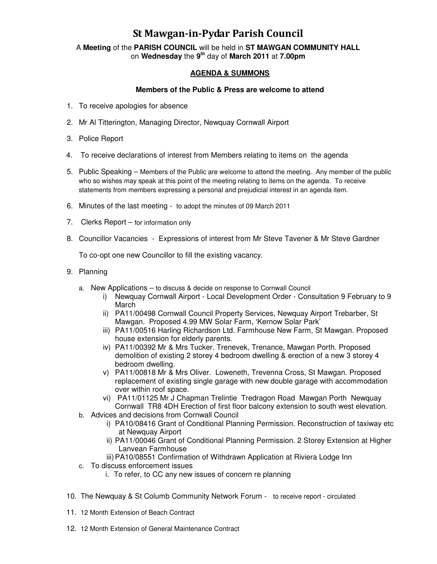## St Mawgan-in-Pydar Parish Council

A **Meeting** of the **PARISH COUNCIL** will be held in **ST MAWGAN COMMUNITY HALL** on **Wednesday** the **9th** day of **March 2011** at **7.00pm** 

### **AGENDA & SUMMONS**

#### **Members of the Public & Press are welcome to attend**

- 1. To receive apologies for absence
- 2. Mr Al Titterington, Managing Director, Newquay Cornwall Airport
- 3. Police Report
- 4. To receive declarations of interest from Members relating to items on the agenda
- 5. Public Speaking Members of the Public are welcome to attend the meeting. Any member of the public who so wishes may speak at this point of the meeting relating to items on the agenda. To receive statements from members expressing a personal and prejudicial interest in an agenda item.
- 6. Minutes of the last meeting to adopt the minutes of 09 March 2011
- 7. Clerks Report for information only
- 8. Councillor Vacancies Expressions of interest from Mr Steve Tavener & Mr Steve Gardner

To co-opt one new Councillor to fill the existing vacancy.

- 9. Planning
	- a. New Applications to discuss & decide on response to Cornwall Council
		- i) Newquay Cornwall Airport Local Development Order Consultation 9 February to 9 March
		- ii) PA11/00498 Cornwall Council Property Services, Newquay Airport Trebarber, St Mawgan. Proposed 4.99 MW Solar Farm, 'Kernow Solar Park'
		- iii) PA11/00516 Harling Richardson Ltd. Farmhouse New Farm, St Mawgan. Proposed house extension for elderly parents.
		- iv) PA11/00392 Mr & Mrs Tucker. Trenevek, Trenance, Mawgan Porth. Proposed demolition of existing 2 storey 4 bedroom dwelling & erection of a new 3 storey 4 bedroom dwelling.
		- v) PA11/00818 Mr & Mrs Oliver. Loweneth, Trevenna Cross, St Mawgan. Proposed replacement of existing single garage with new double garage with accommodation over within roof space.
		- vi) PA11/01125 Mr J Chapman Trelintie Tredragon Road Mawgan Porth Newquay Cornwall TR8 4DH Erection of first floor balcony extension to south west elevation.
	- b. Advices and decisions from Cornwall Council
		- i) PA10/08416 Grant of Conditional Planning Permission. Reconstruction of taxiway etc at Newquay Airport
		- ii) PA11/00046 Grant of Conditional Planning Permission. 2 Storey Extension at Higher Lanvean Farmhouse
		- iii) PA10/08551 Confirmation of Withdrawn Application at Riviera Lodge Inn
	- c. To discuss enforcement issues
		- i. To refer, to CC any new issues of concern re planning
- 10. The Newquay & St Columb Community Network Forum to receive report circulated
- 11. 12 Month Extension of Beach Contract
- 12. 12 Month Extension of General Maintenance Contract